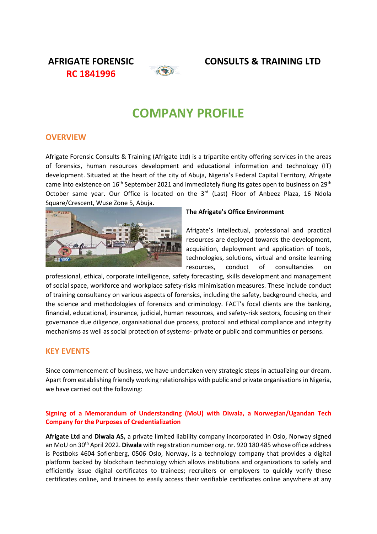**RC 1841996**



# **AFRIGATE FORENSIC CONSULTS & TRAINING LTD**

# **COMPANY PROFILE**

# **OVERVIEW**

Afrigate Forensic Consults & Training (Afrigate Ltd) is a tripartite entity offering services in the areas of forensics, human resources development and educational information and technology (IT) development. Situated at the heart of the city of Abuja, Nigeria's Federal Capital Territory, Afrigate came into existence on 16<sup>th</sup> September 2021 and immediately flung its gates open to business on 29<sup>th</sup> October same year. Our Office is located on the 3<sup>rd</sup> (Last) Floor of Anbeez Plaza, 16 Ndola Square/Crescent, Wuse Zone 5, Abuja.



# **The Afrigate's Office Environment**

Afrigate's intellectual, professional and practical resources are deployed towards the development, acquisition, deployment and application of tools, technologies, solutions, virtual and onsite learning resources, conduct of consultancies on

professional, ethical, corporate intelligence, safety forecasting, skills development and management of social space, workforce and workplace safety-risks minimisation measures. These include conduct of training consultancy on various aspects of forensics, including the safety, background checks, and the science and methodologies of forensics and criminology. FACT's focal clients are the banking, financial, educational, insurance, judicial, human resources, and safety-risk sectors, focusing on their governance due diligence, organisational due process, protocol and ethical compliance and integrity mechanisms as well as social protection of systems- private or public and communities or persons.

# **KEY EVENTS**

Since commencement of business, we have undertaken very strategic steps in actualizing our dream. Apart from establishing friendly working relationships with public and private organisations in Nigeria, we have carried out the following:

# **Signing of a Memorandum of Understanding (MoU) with Diwala, a Norwegian/Ugandan Tech Company for the Purposes of Credentialization**

**Afrigate Ltd** and **Diwala AS,** a private limited liability company incorporated in Oslo, Norway signed an MoU on 30th April 2022. **Diwala** with registration number org. nr. 920 180 485 whose office address is Postboks 4604 Sofienberg, 0506 Oslo, Norway, is a technology company that provides a digital platform backed by blockchain technology which allows institutions and organizations to safely and efficiently issue digital certificates to trainees; recruiters or employers to quickly verify these certificates online, and trainees to easily access their verifiable certificates online anywhere at any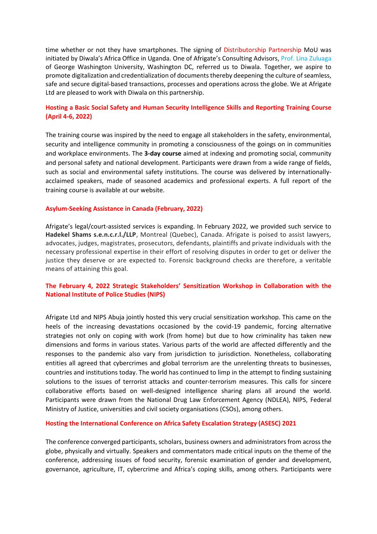time whether or not they have smartphones. The signing of Distributorship Partnership MoU was initiated by Diwala's Africa Office in Uganda. One of Afrigate's Consulting Advisors, Prof. Lina Zuluaga of George Washington University, Washington DC, referred us to Diwala. Together, we aspire to promote digitalization and credentialization of documents thereby deepening the culture of seamless, safe and secure digital-based transactions, processes and operations across the globe. We at Afrigate Ltd are pleased to work with Diwala on this partnership.

# **Hosting a Basic Social Safety and Human Security Intelligence Skills and Reporting Training Course (April 4-6, 2022)**

The training course was inspired by the need to engage all stakeholders in the safety, environmental, security and intelligence community in promoting a consciousness of the goings on in communities and workplace environments. The **3-day course** aimed at indexing and promoting social, community and personal safety and national development. Participants were drawn from a wide range of fields, such as social and environmental safety institutions. The course was delivered by internationallyacclaimed speakers, made of seasoned academics and professional experts. A full report of the training course is available at our website.

#### **Asylum-Seeking Assistance in Canada (February, 2022)**

Afrigate's legal/court-assisted services is expanding. In February 2022, we provided such service to **Hadekel Shams s.e.n.c.r.l./LLP**, Montreal (Quebec), Canada. Afrigate is poised to assist lawyers, advocates, judges, magistrates, prosecutors, defendants, plaintiffs and private individuals with the necessary professional expertise in their effort of resolving disputes in order to get or deliver the justice they deserve or are expected to. Forensic background checks are therefore, a veritable means of attaining this goal.

# **The February 4, 2022 Strategic Stakeholders' Sensitization Workshop in Collaboration with the National Institute of Police Studies (NIPS)**

Afrigate Ltd and NIPS Abuja jointly hosted this very crucial sensitization workshop. This came on the heels of the increasing devastations occasioned by the covid-19 pandemic, forcing alternative strategies not only on coping with work (from home) but due to how criminality has taken new dimensions and forms in various states. Various parts of the world are affected differently and the responses to the pandemic also vary from jurisdiction to jurisdiction. Nonetheless, collaborating entities all agreed that cybercrimes and global terrorism are the unrelenting threats to businesses, countries and institutions today. The world has continued to limp in the attempt to finding sustaining solutions to the issues of terrorist attacks and counter-terrorism measures. This calls for sincere collaborative efforts based on well-designed intelligence sharing plans all around the world. Participants were drawn from the National Drug Law Enforcement Agency (NDLEA), NIPS, Federal Ministry of Justice, universities and civil society organisations (CSOs), among others.

## **Hosting the International Conference on Africa Safety Escalation Strategy (ASESC) 2021**

The conference converged participants, scholars, business owners and administrators from across the globe, physically and virtually. Speakers and commentators made critical inputs on the theme of the conference, addressing issues of food security, forensic examination of gender and development, governance, agriculture, IT, cybercrime and Africa's coping skills, among others. Participants were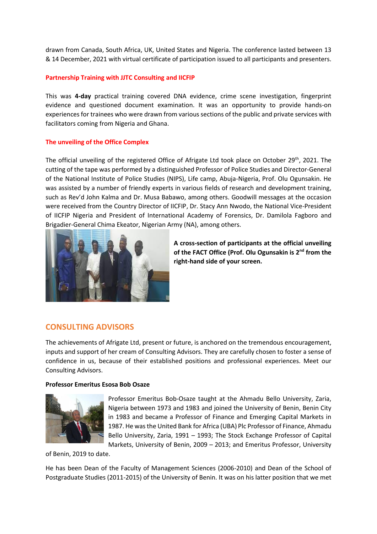drawn from Canada, South Africa, UK, United States and Nigeria. The conference lasted between 13 & 14 December, 2021 with virtual certificate of participation issued to all participants and presenters.

## **Partnership Training with JJTC Consulting and IICFIP**

This was **4-day** practical training covered DNA evidence, crime scene investigation, fingerprint evidence and questioned document examination. It was an opportunity to provide hands-on experiences for trainees who were drawn from various sections of the public and private services with facilitators coming from Nigeria and Ghana.

#### **The unveiling of the Office Complex**

The official unveiling of the registered Office of Afrigate Ltd took place on October 29<sup>th</sup>, 2021. The cutting of the tape was performed by a distinguished Professor of Police Studies and Director-General of the National Institute of Police Studies (NIPS), Life camp, Abuja-Nigeria, Prof. Olu Ogunsakin. He was assisted by a number of friendly experts in various fields of research and development training, such as Rev'd John Kalma and Dr. Musa Babawo, among others. Goodwill messages at the occasion were received from the Country Director of IICFIP, Dr. Stacy Ann Nwodo, the National Vice-President of IICFIP Nigeria and President of International Academy of Forensics, Dr. Damilola Fagboro and Brigadier-General Chima Ekeator, Nigerian Army (NA), among others.



**A cross-section of participants at the official unveiling of the FACT Office (Prof. Olu Ogunsakin is 2nd from the right-hand side of your screen.**

# **CONSULTING ADVISORS**

The achievements of Afrigate Ltd, present or future, is anchored on the tremendous encouragement, inputs and support of her cream of Consulting Advisors. They are carefully chosen to foster a sense of confidence in us, because of their established positions and professional experiences. Meet our Consulting Advisors.

#### **Professor Emeritus Esosa Bob Osaze**



Professor Emeritus Bob-Osaze taught at the Ahmadu Bello University, Zaria, Nigeria between 1973 and 1983 and joined the University of Benin, Benin City in 1983 and became a Professor of Finance and Emerging Capital Markets in 1987. He wasthe United Bank for Africa (UBA) Plc Professor of Finance, Ahmadu Bello University, Zaria, 1991 – 1993; The Stock Exchange Professor of Capital Markets, University of Benin, 2009 – 2013; and Emeritus Professor, University

of Benin, 2019 to date.

He has been Dean of the Faculty of Management Sciences (2006-2010) and Dean of the School of Postgraduate Studies (2011-2015) of the University of Benin. It was on his latter position that we met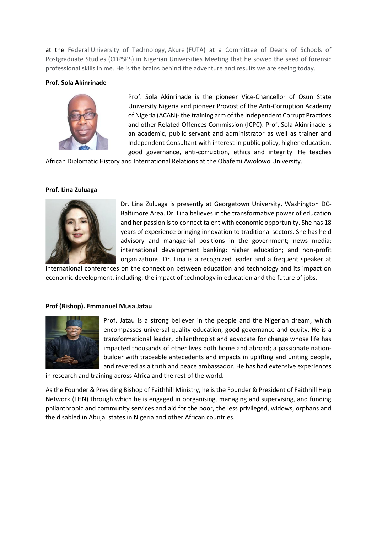at the Federal University of Technology, Akure (FUTA) at a Committee of Deans of Schools of Postgraduate Studies (CDPSPS) in Nigerian Universities Meeting that he sowed the seed of forensic professional skills in me. He is the brains behind the adventure and results we are seeing today.

#### **Prof. Sola Akinrinade**



Prof. Sola Akinrinade is the pioneer Vice-Chancellor of Osun State University Nigeria and pioneer Provost of the Anti-Corruption Academy of Nigeria (ACAN)- the training arm of the Independent Corrupt Practices and other Related Offences Commission (ICPC). Prof. Sola Akinrinade is an academic, public servant and administrator as well as trainer and Independent Consultant with interest in public policy, higher education, good governance, anti-corruption, ethics and integrity. He teaches

African Diplomatic History and International Relations at the Obafemi Awolowo University.

#### **Prof. Lina Zuluaga**



Dr. Lina Zuluaga is presently at Georgetown University, Washington DC-Baltimore Area. Dr. Lina believes in the transformative power of education and her passion is to connect talent with economic opportunity. She has 18 years of experience bringing innovation to traditional sectors. She has held advisory and managerial positions in the government; news media; international development banking; higher education; and non-profit organizations. Dr. Lina is a recognized leader and a frequent speaker at

international conferences on the connection between education and technology and its impact on economic development, including: the impact of technology in education and the future of jobs.

#### **Prof (Bishop). Emmanuel Musa Jatau**



Prof. Jatau is a strong believer in the people and the Nigerian dream, which encompasses universal quality education, good governance and equity. He is a transformational leader, philanthropist and advocate for change whose life has impacted thousands of other lives both home and abroad; a passionate nationbuilder with traceable antecedents and impacts in uplifting and uniting people, and revered as a truth and peace ambassador. He has had extensive experiences

in research and training across Africa and the rest of the world.

As the Founder & Presiding Bishop of Faithhill Ministry, he is the Founder & President of Faithhill Help Network (FHN) through which he is engaged in oorganising, managing and supervising, and funding philanthropic and community services and aid for the poor, the less privileged, widows, orphans and the disabled in Abuja, states in Nigeria and other African countries.